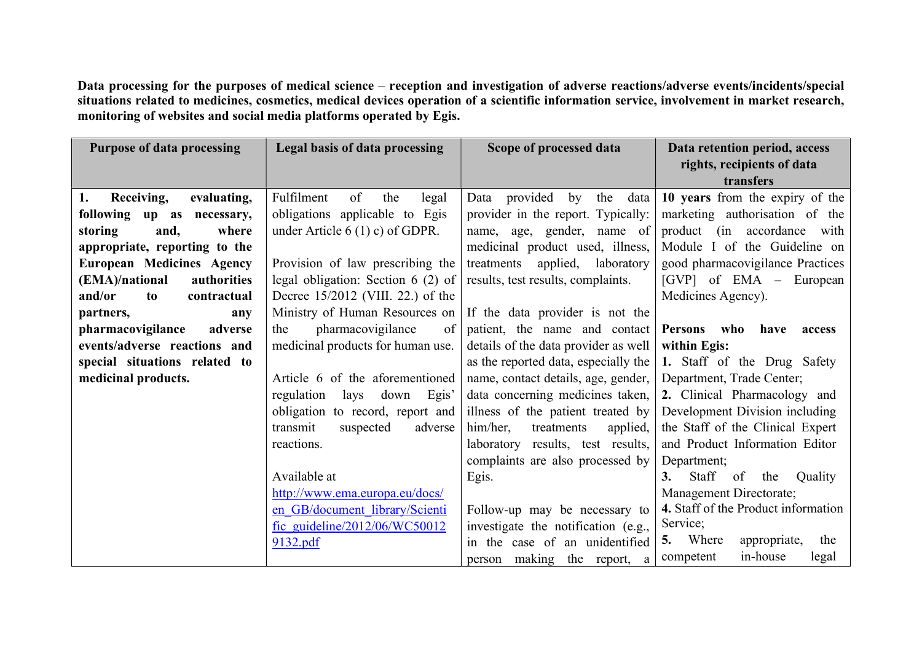Data processing for the purposes of medical science – reception and investigation of adverse reactions/adverse events/incidents/special situations related to medicines, cosmetics, medical devices operation of a scientific information service, involvement in market research, monitoring of websites and social media platforms operated by Egis.

| <b>Purpose of data processing</b> | Legal basis of data processing      | Scope of processed data               | Data retention period, access<br>rights, recipients of data |
|-----------------------------------|-------------------------------------|---------------------------------------|-------------------------------------------------------------|
|                                   |                                     |                                       | transfers                                                   |
| 1.<br>Receiving,<br>evaluating,   | of<br>Fulfilment<br>the<br>legal    | provided<br>by<br>the<br>data<br>Data | 10 years from the expiry of the                             |
| following up as necessary,        | obligations applicable to Egis      | provider in the report. Typically:    | marketing authorisation of the                              |
| where<br>storing<br>and,          | under Article $6(1)$ c) of GDPR.    | name, age, gender, name of            | product (in accordance with                                 |
| appropriate, reporting to the     |                                     | medicinal product used, illness,      | Module I of the Guideline on                                |
| <b>European Medicines Agency</b>  | Provision of law prescribing the    | applied, laboratory<br>treatments     | good pharmacovigilance Practices                            |
| (EMA)/national<br>authorities     | legal obligation: Section 6 (2) of  | results, test results, complaints.    | [GVP] of EMA – European                                     |
| and/or<br>contractual<br>to       | Decree 15/2012 (VIII. 22.) of the   |                                       | Medicines Agency).                                          |
| partners,<br>any                  | Ministry of Human Resources on      | If the data provider is not the       |                                                             |
| pharmacovigilance<br>adverse      | pharmacovigilance<br>the<br>of      | patient, the name and contact         | Persons who<br>have<br>access                               |
| events/adverse reactions and      | medicinal products for human use.   | details of the data provider as well  | within Egis:                                                |
| special situations related to     |                                     | as the reported data, especially the  | 1. Staff of the Drug Safety                                 |
| medicinal products.               | Article 6 of the aforementioned     | name, contact details, age, gender,   | Department, Trade Center;                                   |
|                                   | regulation<br>down<br>Egis'<br>lays | data concerning medicines taken,      | 2. Clinical Pharmacology and                                |
|                                   | obligation to record, report and    | illness of the patient treated by     | Development Division including                              |
|                                   | transmit<br>adverse<br>suspected    | him/her,<br>treatments<br>applied,    | the Staff of the Clinical Expert                            |
|                                   | reactions.                          | laboratory results, test results,     | and Product Information Editor                              |
|                                   |                                     | complaints are also processed by      | Department;                                                 |
|                                   | Available at                        | Egis.                                 | Staff<br>of<br>the<br>3.<br>Quality                         |
|                                   | http://www.ema.europa.eu/docs/      |                                       | Management Directorate;                                     |
|                                   | en GB/document library/Scienti      | Follow-up may be necessary to         | 4. Staff of the Product information                         |
|                                   | fic guideline/2012/06/WC50012       | investigate the notification (e.g.,   | Service;                                                    |
|                                   | 9132.pdf                            | in the case of an unidentified        | 5. Where<br>appropriate,<br>the                             |
|                                   |                                     | person making the report,<br>a        | in-house<br>competent<br>legal                              |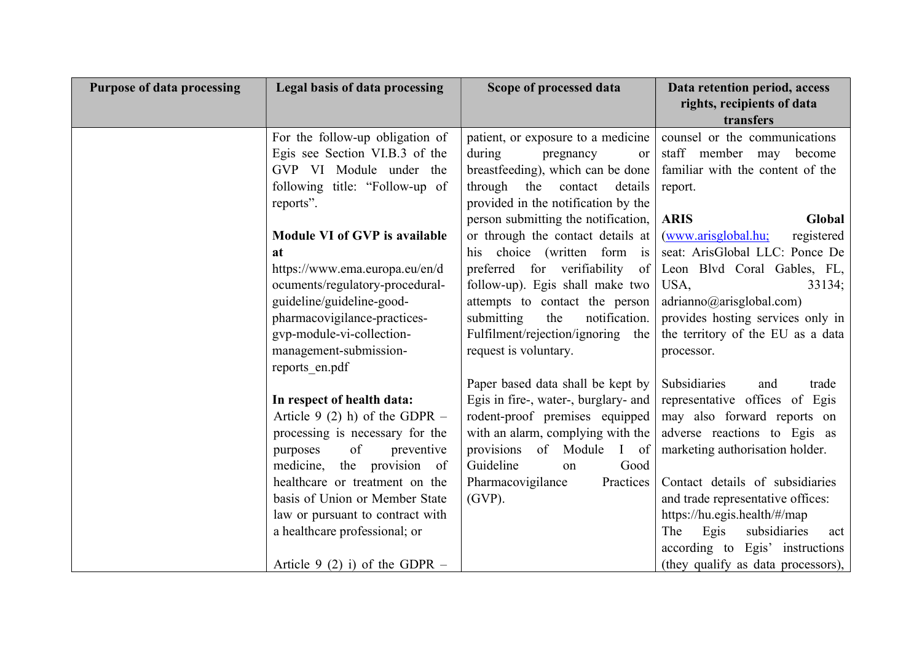| <b>Purpose of data processing</b> | Legal basis of data processing                                                                                                 | Scope of processed data                                                                                                                      | Data retention period, access<br>rights, recipients of data<br>transfers                                    |
|-----------------------------------|--------------------------------------------------------------------------------------------------------------------------------|----------------------------------------------------------------------------------------------------------------------------------------------|-------------------------------------------------------------------------------------------------------------|
|                                   | For the follow-up obligation of<br>Egis see Section VI.B.3 of the<br>GVP VI Module under the<br>following title: "Follow-up of | patient, or exposure to a medicine<br>during<br>pregnancy<br>or<br>breastfeeding), which can be done<br>through<br>the<br>details<br>contact | counsel or the communications<br>staff member may<br>become<br>familiar with the content of the<br>report.  |
|                                   | reports".<br>Module VI of GVP is available                                                                                     | provided in the notification by the<br>person submitting the notification,<br>or through the contact details at                              | <b>ARIS</b><br>Global<br>(www.arisglobal.hu;<br>registered                                                  |
|                                   | <b>at</b><br>https://www.ema.europa.eu/en/d<br>ocuments/regulatory-procedural-<br>guideline/guideline-good-                    | his choice (written form is<br>preferred for verifiability<br>of<br>follow-up). Egis shall make two<br>attempts to contact the person        | seat: ArisGlobal LLC: Ponce De<br>Leon Blvd Coral Gables, FL,<br>USA,<br>33134;<br>adrianno@arisglobal.com) |
|                                   | pharmacovigilance-practices-<br>gvp-module-vi-collection-<br>management-submission-                                            | notification.<br>submitting<br>the<br>Fulfilment/rejection/ignoring the<br>request is voluntary.                                             | provides hosting services only in<br>the territory of the EU as a data<br>processor.                        |
|                                   | reports_en.pdf<br>In respect of health data:<br>Article 9 (2) h) of the GDPR $-$                                               | Paper based data shall be kept by<br>Egis in fire-, water-, burglary- and<br>rodent-proof premises equipped                                  | Subsidiaries<br>and<br>trade<br>representative offices of Egis<br>may also forward reports on               |
|                                   | processing is necessary for the<br>of<br>purposes<br>preventive<br>medicine, the provision of                                  | with an alarm, complying with the<br>provisions of Module<br>$\mathbf{I}$<br>of<br>Guideline<br>Good<br>on                                   | adverse reactions to Egis as<br>marketing authorisation holder.                                             |
|                                   | healthcare or treatment on the<br>basis of Union or Member State<br>law or pursuant to contract with                           | Practices<br>Pharmacovigilance<br>$(GVP)$ .                                                                                                  | Contact details of subsidiaries<br>and trade representative offices:<br>https://hu.egis.health/#/map<br>The |
|                                   | a healthcare professional; or<br>Article 9 (2) i) of the GDPR $-$                                                              |                                                                                                                                              | subsidiaries<br>Egis<br>act<br>according to Egis' instructions<br>(they qualify as data processors),        |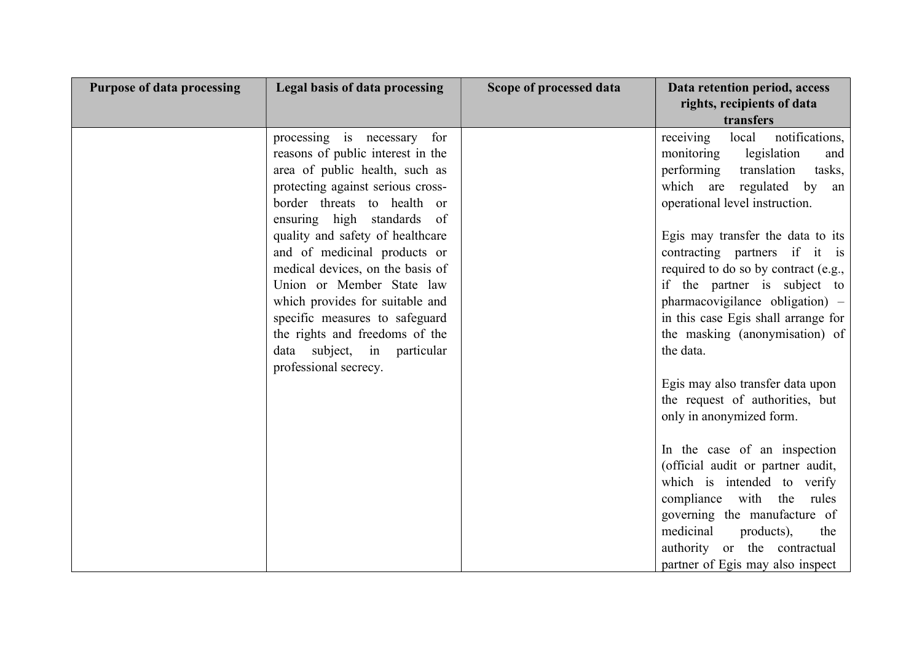| <b>Purpose of data processing</b> | Legal basis of data processing                                                                                                                                                                                                                                                                                                                                                                                                                                                                           | Scope of processed data | Data retention period, access<br>rights, recipients of data<br>transfers                                                                                                                                                                                                                                                                                                                                                                                                                                                                                                                                                                                                                                                                                                                                                           |
|-----------------------------------|----------------------------------------------------------------------------------------------------------------------------------------------------------------------------------------------------------------------------------------------------------------------------------------------------------------------------------------------------------------------------------------------------------------------------------------------------------------------------------------------------------|-------------------------|------------------------------------------------------------------------------------------------------------------------------------------------------------------------------------------------------------------------------------------------------------------------------------------------------------------------------------------------------------------------------------------------------------------------------------------------------------------------------------------------------------------------------------------------------------------------------------------------------------------------------------------------------------------------------------------------------------------------------------------------------------------------------------------------------------------------------------|
|                                   | processing is necessary for<br>reasons of public interest in the<br>area of public health, such as<br>protecting against serious cross-<br>border threats to health or<br>ensuring high standards of<br>quality and safety of healthcare<br>and of medicinal products or<br>medical devices, on the basis of<br>Union or Member State law<br>which provides for suitable and<br>specific measures to safeguard<br>the rights and freedoms of the<br>data subject, in particular<br>professional secrecy. |                         | receiving<br>notifications,<br>local<br>legislation<br>monitoring<br>and<br>performing<br>translation<br>tasks,<br>which are regulated by<br>an<br>operational level instruction.<br>Egis may transfer the data to its<br>contracting partners if it is<br>required to do so by contract (e.g.,<br>if the partner is subject to<br>pharmacovigilance obligation) –<br>in this case Egis shall arrange for<br>the masking (anonymisation) of<br>the data.<br>Egis may also transfer data upon<br>the request of authorities, but<br>only in anonymized form.<br>In the case of an inspection<br>(official audit or partner audit,<br>which is intended to verify<br>compliance with the rules<br>governing the manufacture of<br>medicinal<br>products),<br>the<br>authority or the contractual<br>partner of Egis may also inspect |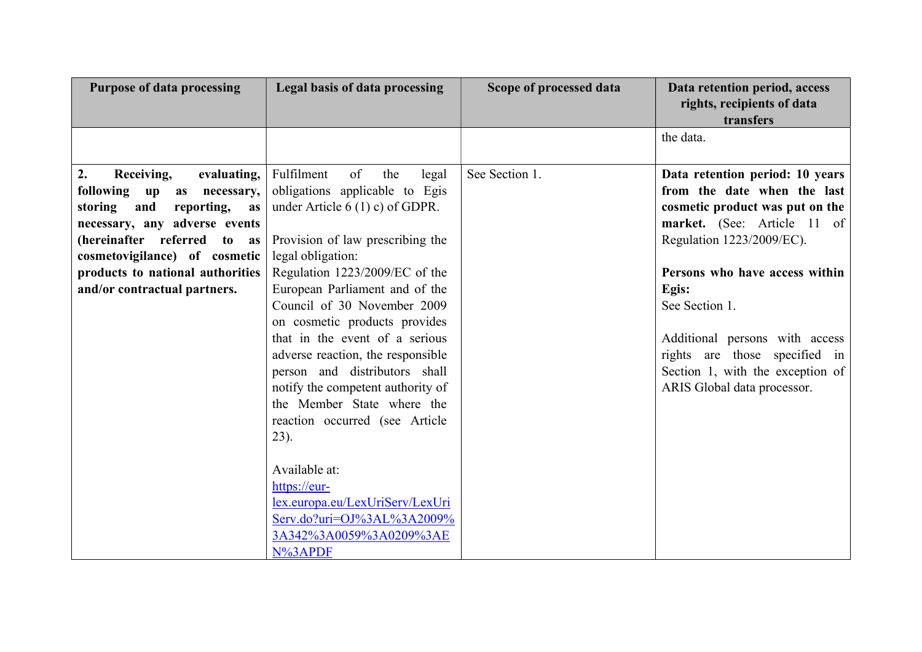| <b>Purpose of data processing</b>                                                                                                                                                                                                                                              | Legal basis of data processing                                                                                                                                                                                                                                                                                                                                                                                                                                                                                                                                                                                                                                   | Scope of processed data | Data retention period, access<br>rights, recipients of data<br>transfers                                                                                                                                                                                                                                                                                         |
|--------------------------------------------------------------------------------------------------------------------------------------------------------------------------------------------------------------------------------------------------------------------------------|------------------------------------------------------------------------------------------------------------------------------------------------------------------------------------------------------------------------------------------------------------------------------------------------------------------------------------------------------------------------------------------------------------------------------------------------------------------------------------------------------------------------------------------------------------------------------------------------------------------------------------------------------------------|-------------------------|------------------------------------------------------------------------------------------------------------------------------------------------------------------------------------------------------------------------------------------------------------------------------------------------------------------------------------------------------------------|
|                                                                                                                                                                                                                                                                                |                                                                                                                                                                                                                                                                                                                                                                                                                                                                                                                                                                                                                                                                  |                         | the data.                                                                                                                                                                                                                                                                                                                                                        |
| 2.<br>Receiving,<br>evaluating,<br>following up<br>necessary,<br>as<br>storing<br>and<br>reporting,<br>as<br>necessary, any adverse events<br>(hereinafter referred to as<br>cosmetovigilance) of cosmetic<br>products to national authorities<br>and/or contractual partners. | Fulfilment<br>of<br>the<br>legal<br>obligations applicable to Egis<br>under Article $6(1)$ c) of GDPR.<br>Provision of law prescribing the<br>legal obligation:<br>Regulation 1223/2009/EC of the<br>European Parliament and of the<br>Council of 30 November 2009<br>on cosmetic products provides<br>that in the event of a serious<br>adverse reaction, the responsible<br>person and distributors shall<br>notify the competent authority of<br>the Member State where the<br>reaction occurred (see Article<br>23).<br>Available at:<br>https://eur-<br>lex.europa.eu/LexUriServ/LexUri<br>Serv.do?uri=OJ%3AL%3A2009%<br>3A342%3A0059%3A0209%3AE<br>N%3APDF | See Section 1.          | Data retention period: 10 years<br>from the date when the last<br>cosmetic product was put on the<br>market. (See: Article 11 of<br>Regulation 1223/2009/EC).<br>Persons who have access within<br>Egis:<br>See Section 1.<br>Additional persons with access<br>rights are those specified in<br>Section 1, with the exception of<br>ARIS Global data processor. |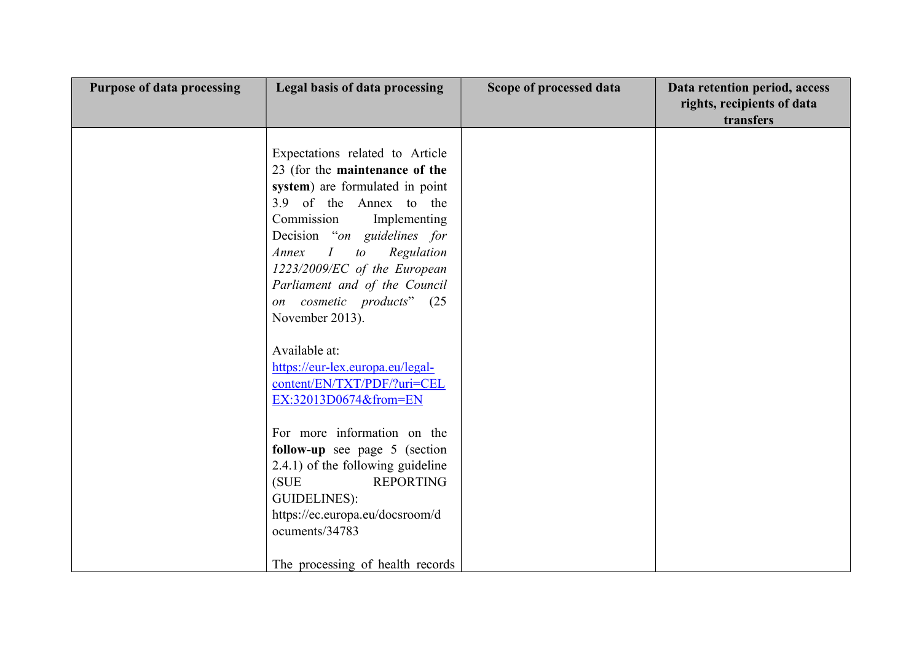| <b>Purpose of data processing</b> | Legal basis of data processing                                                                                                                                                                                                                                                                                                               | Scope of processed data | Data retention period, access<br>rights, recipients of data<br>transfers |
|-----------------------------------|----------------------------------------------------------------------------------------------------------------------------------------------------------------------------------------------------------------------------------------------------------------------------------------------------------------------------------------------|-------------------------|--------------------------------------------------------------------------|
|                                   | Expectations related to Article<br>23 (for the maintenance of the<br>system) are formulated in point<br>3.9 of the Annex to the<br>Commission<br>Implementing<br>Decision "on guidelines for<br>I<br>to Regulation<br>Annex<br>1223/2009/EC of the European<br>Parliament and of the Council<br>on cosmetic products" (25<br>November 2013). |                         |                                                                          |
|                                   | Available at:<br>https://eur-lex.europa.eu/legal-<br>content/EN/TXT/PDF/?uri=CEL<br>EX:32013D0674&from=EN                                                                                                                                                                                                                                    |                         |                                                                          |
|                                   | For more information on the<br>follow-up see page 5 (section<br>2.4.1) of the following guideline<br><b>REPORTING</b><br>(SUE<br><b>GUIDELINES):</b><br>https://ec.europa.eu/docsroom/d<br>ocuments/34783<br>The processing of health records                                                                                                |                         |                                                                          |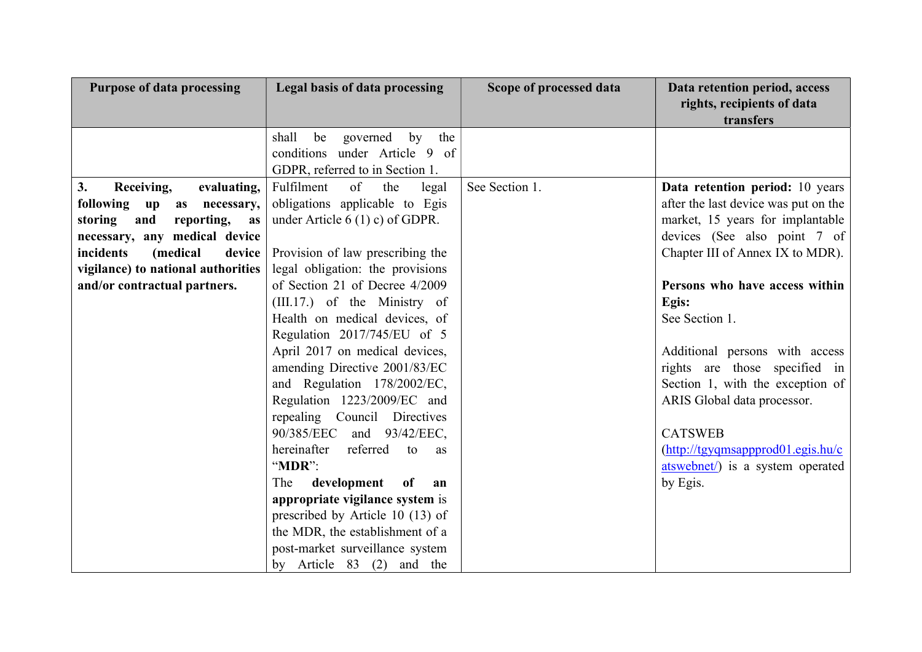| <b>Purpose of data processing</b>                     | Legal basis of data processing       | Scope of processed data | Data retention period, access<br>rights, recipients of data<br>transfers |
|-------------------------------------------------------|--------------------------------------|-------------------------|--------------------------------------------------------------------------|
|                                                       | be<br>governed<br>by<br>the<br>shall |                         |                                                                          |
|                                                       | conditions under Article 9 of        |                         |                                                                          |
|                                                       | GDPR, referred to in Section 1.      |                         |                                                                          |
| 3.<br>Receiving,<br>evaluating,                       | of<br>Fulfilment<br>the<br>legal     | See Section 1.          | Data retention period: 10 years                                          |
| following<br>$\mathbf{u} \mathbf{p}$<br>as necessary, | obligations applicable to Egis       |                         | after the last device was put on the                                     |
| reporting,<br>storing<br>and<br>as                    | under Article $6(1)$ c) of GDPR.     |                         | market, 15 years for implantable                                         |
| necessary, any medical device                         |                                      |                         | devices (See also point 7 of                                             |
| incidents<br>(medical<br>device                       | Provision of law prescribing the     |                         | Chapter III of Annex IX to MDR).                                         |
| vigilance) to national authorities                    | legal obligation: the provisions     |                         |                                                                          |
| and/or contractual partners.                          | of Section 21 of Decree 4/2009       |                         | Persons who have access within                                           |
|                                                       | (III.17.) of the Ministry of         |                         | Egis:                                                                    |
|                                                       | Health on medical devices, of        |                         | See Section 1.                                                           |
|                                                       | Regulation 2017/745/EU of 5          |                         |                                                                          |
|                                                       | April 2017 on medical devices,       |                         | Additional persons with access                                           |
|                                                       | amending Directive 2001/83/EC        |                         | rights are those specified in                                            |
|                                                       | and Regulation 178/2002/EC,          |                         | Section 1, with the exception of                                         |
|                                                       | Regulation 1223/2009/EC and          |                         | ARIS Global data processor.                                              |
|                                                       | repealing Council Directives         |                         |                                                                          |
|                                                       | 90/385/EEC and 93/42/EEC,            |                         | <b>CATSWEB</b>                                                           |
|                                                       | hereinafter<br>referred<br>to<br>as  |                         | $(\text{http://tgyqmsappprod01.egis.hu/c})$                              |
|                                                       | " $MDR$ ":                           |                         | atswebnet/) is a system operated                                         |
|                                                       | development<br>The<br>of<br>an       |                         | by Egis.                                                                 |
|                                                       | appropriate vigilance system is      |                         |                                                                          |
|                                                       | prescribed by Article 10 (13) of     |                         |                                                                          |
|                                                       | the MDR, the establishment of a      |                         |                                                                          |
|                                                       | post-market surveillance system      |                         |                                                                          |
|                                                       | by Article 83 (2) and the            |                         |                                                                          |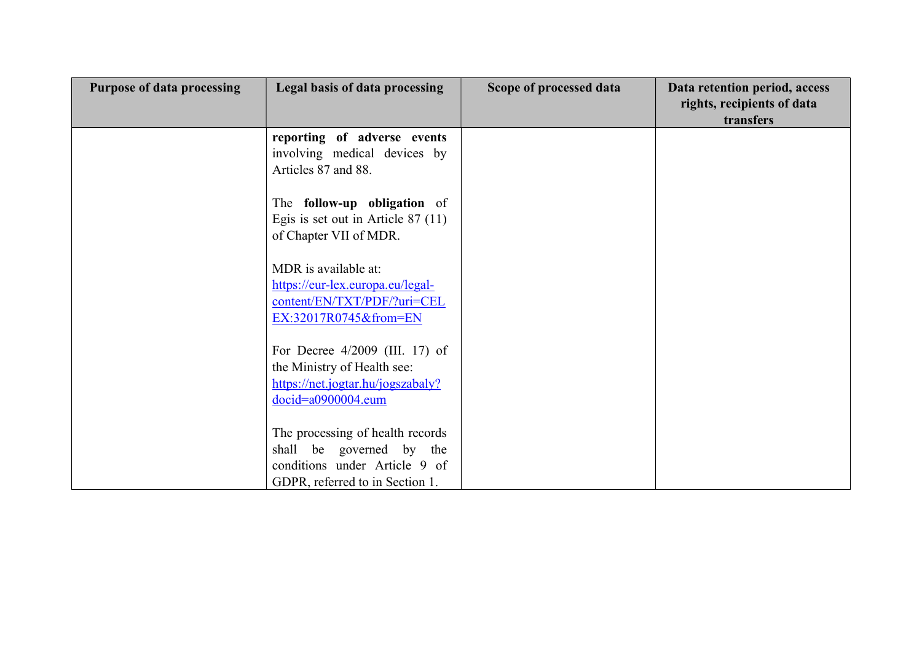| <b>Purpose of data processing</b> | Legal basis of data processing                                                                                                   | Scope of processed data | Data retention period, access |
|-----------------------------------|----------------------------------------------------------------------------------------------------------------------------------|-------------------------|-------------------------------|
|                                   |                                                                                                                                  |                         | rights, recipients of data    |
|                                   |                                                                                                                                  |                         | transfers                     |
|                                   | reporting of adverse events<br>involving medical devices by<br>Articles 87 and 88.                                               |                         |                               |
|                                   | The follow-up obligation of<br>Egis is set out in Article $87(11)$<br>of Chapter VII of MDR.                                     |                         |                               |
|                                   | MDR is available at:<br>https://eur-lex.europa.eu/legal-<br>content/EN/TXT/PDF/?uri=CEL<br>EX:32017R0745&from=EN                 |                         |                               |
|                                   | For Decree $4/2009$ (III. 17) of<br>the Ministry of Health see:<br>https://net.jogtar.hu/jogszabaly?<br>docid=a0900004.eum       |                         |                               |
|                                   | The processing of health records<br>shall be governed by the<br>conditions under Article 9 of<br>GDPR, referred to in Section 1. |                         |                               |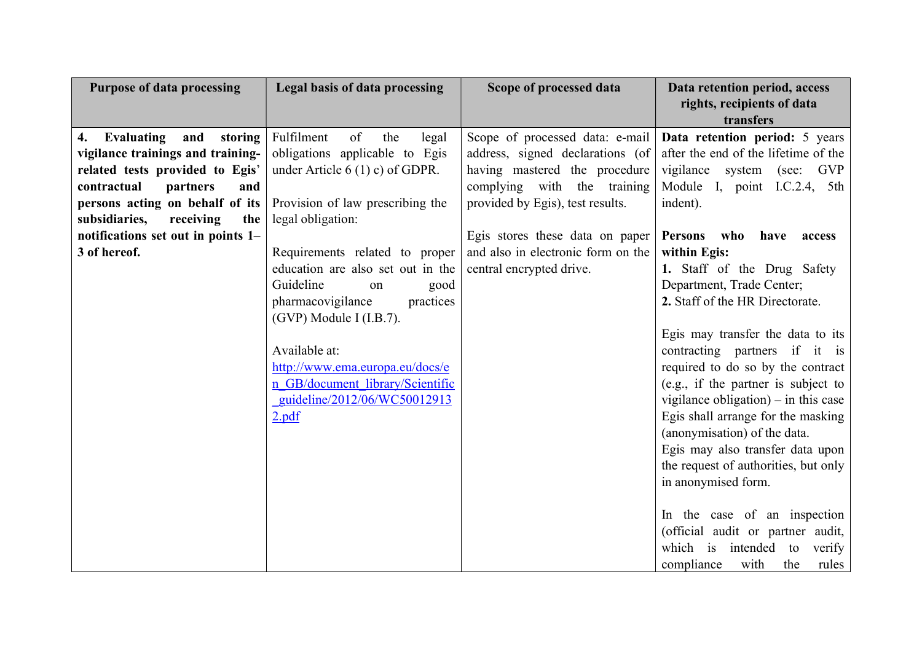| <b>Purpose of data processing</b>  | Legal basis of data processing    | Scope of processed data            | Data retention period, access<br>rights, recipients of data<br>transfers |
|------------------------------------|-----------------------------------|------------------------------------|--------------------------------------------------------------------------|
| Evaluating<br>and<br>storing<br>4. | Fulfilment<br>of<br>the<br>legal  | Scope of processed data: e-mail    | Data retention period: 5 years                                           |
| vigilance trainings and training-  | obligations applicable to Egis    | address, signed declarations (of   | after the end of the lifetime of the                                     |
| related tests provided to Egis'    | under Article $6(1)$ c) of GDPR.  | having mastered the procedure      | vigilance<br>GVP<br>system<br>(see:                                      |
| contractual<br>partners<br>and     |                                   | complying with the training        | Module I, point I.C.2.4, 5th                                             |
| persons acting on behalf of its    | Provision of law prescribing the  | provided by Egis), test results.   | indent).                                                                 |
| subsidiaries,<br>receiving<br>the  | legal obligation:                 |                                    |                                                                          |
| notifications set out in points 1– |                                   | Egis stores these data on paper    | <b>Persons</b><br>who<br>have<br>access                                  |
| 3 of hereof.                       | Requirements related to proper    | and also in electronic form on the | within Egis:                                                             |
|                                    | education are also set out in the | central encrypted drive.           | 1. Staff of the Drug Safety                                              |
|                                    | Guideline<br>good<br>on           |                                    | Department, Trade Center;                                                |
|                                    | pharmacovigilance<br>practices    |                                    | 2. Staff of the HR Directorate.                                          |
|                                    | (GVP) Module I (I.B.7).           |                                    |                                                                          |
|                                    |                                   |                                    | Egis may transfer the data to its                                        |
|                                    | Available at:                     |                                    | contracting partners if it is                                            |
|                                    | http://www.ema.europa.eu/docs/e   |                                    | required to do so by the contract                                        |
|                                    | n GB/document library/Scientific  |                                    | (e.g., if the partner is subject to                                      |
|                                    | guideline/2012/06/WC50012913      |                                    | vigilance obligation) $-$ in this case                                   |
|                                    | 2.pdf                             |                                    | Egis shall arrange for the masking                                       |
|                                    |                                   |                                    | (anonymisation) of the data.                                             |
|                                    |                                   |                                    | Egis may also transfer data upon                                         |
|                                    |                                   |                                    | the request of authorities, but only                                     |
|                                    |                                   |                                    | in anonymised form.                                                      |
|                                    |                                   |                                    |                                                                          |
|                                    |                                   |                                    | In the case of an inspection                                             |
|                                    |                                   |                                    | (official audit or partner audit,                                        |
|                                    |                                   |                                    | which is intended to<br>verify                                           |
|                                    |                                   |                                    | compliance<br>with<br>the<br>rules                                       |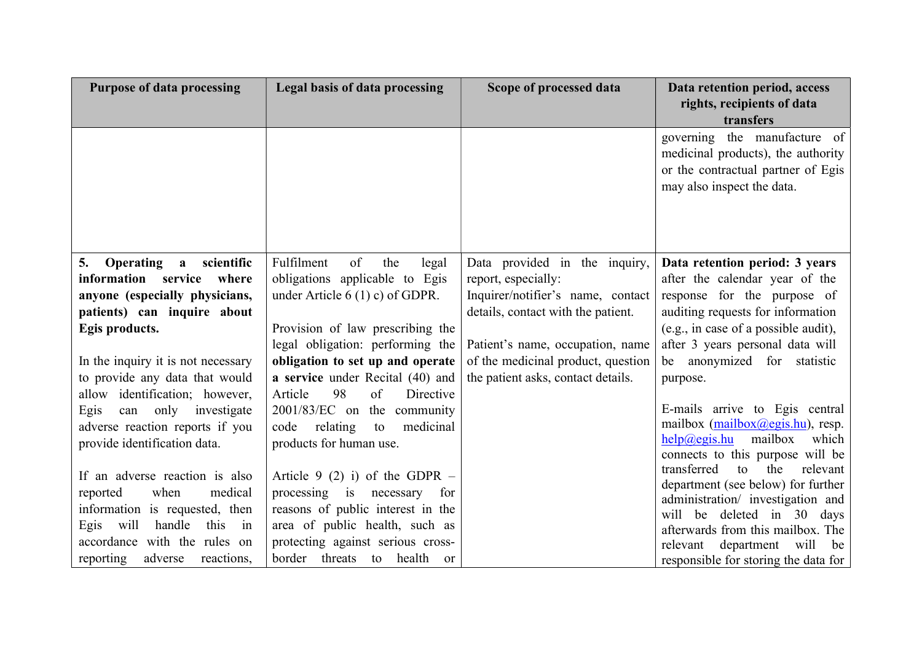| <b>Purpose of data processing</b>                    | Legal basis of data processing      | Scope of processed data            | Data retention period, access<br>rights, recipients of data<br>transfers                                                               |
|------------------------------------------------------|-------------------------------------|------------------------------------|----------------------------------------------------------------------------------------------------------------------------------------|
|                                                      |                                     |                                    | governing the manufacture of<br>medicinal products), the authority<br>or the contractual partner of Egis<br>may also inspect the data. |
| 5.<br><b>Operating</b><br>scientific<br>$\mathbf{a}$ | Fulfilment<br>of<br>the<br>legal    | Data provided in the inquiry,      | Data retention period: 3 years                                                                                                         |
| information service<br>where                         | obligations applicable to Egis      | report, especially:                | after the calendar year of the                                                                                                         |
| anyone (especially physicians,                       | under Article $6(1)$ c) of GDPR.    | Inquirer/notifier's name, contact  | response for the purpose of                                                                                                            |
| patients) can inquire about                          |                                     | details, contact with the patient. | auditing requests for information                                                                                                      |
| Egis products.                                       | Provision of law prescribing the    |                                    | (e.g., in case of a possible audit),                                                                                                   |
|                                                      | legal obligation: performing the    | Patient's name, occupation, name   | after 3 years personal data will                                                                                                       |
| In the inquiry it is not necessary                   | obligation to set up and operate    | of the medicinal product, question | be anonymized for statistic                                                                                                            |
| to provide any data that would                       | a service under Recital (40) and    | the patient asks, contact details. | purpose.                                                                                                                               |
| identification; however,<br>allow                    | 98<br>Directive<br>Article<br>of    |                                    |                                                                                                                                        |
| Egis<br>can only investigate                         | 2001/83/EC on the community         |                                    | E-mails arrive to Egis central                                                                                                         |
| adverse reaction reports if you                      | medicinal<br>relating<br>to<br>code |                                    | mailbox $(mailbox@egis.hu)$ , resp.<br>mailbox<br>which                                                                                |
| provide identification data.                         | products for human use.             |                                    | help@egis.hu<br>connects to this purpose will be                                                                                       |
|                                                      |                                     |                                    | transferred<br>to<br>the<br>relevant                                                                                                   |
| If an adverse reaction is also                       | Article 9 (2) i) of the GDPR $-$    |                                    | department (see below) for further                                                                                                     |
| medical<br>when<br>reported                          | processing is necessary<br>for      |                                    | administration/ investigation and                                                                                                      |
| information is requested, then                       | reasons of public interest in the   |                                    | will be deleted in 30 days                                                                                                             |
| handle<br>this<br>Egis<br>will<br>in                 | area of public health, such as      |                                    | afterwards from this mailbox. The                                                                                                      |
| accordance with the rules on                         | protecting against serious cross-   |                                    | department will<br>relevant<br>be                                                                                                      |
| reporting<br>adverse<br>reactions,                   | border threats to health<br>or      |                                    | responsible for storing the data for                                                                                                   |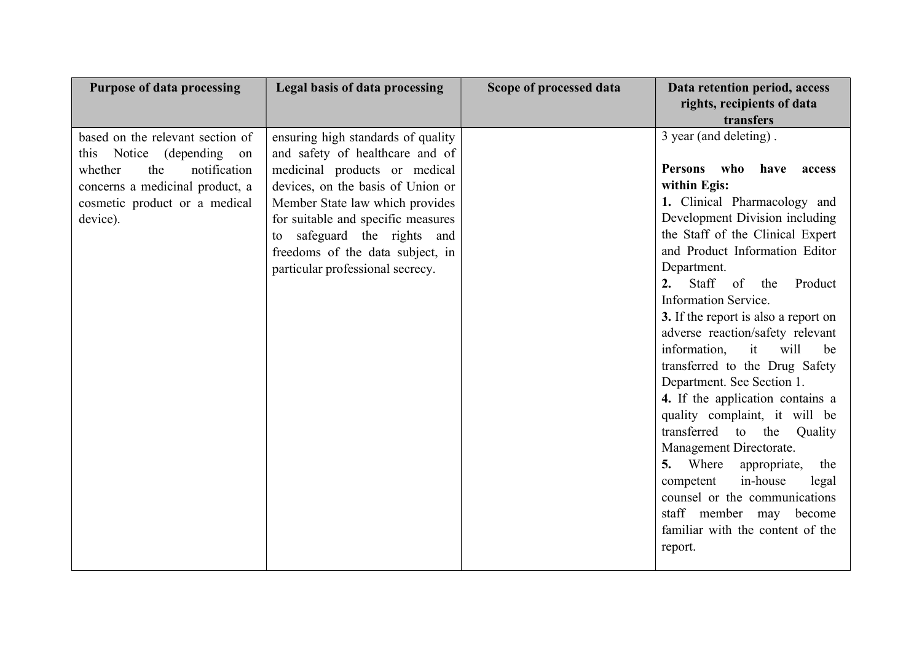| <b>Purpose of data processing</b>                                                                                                                                                  | Legal basis of data processing                                                                                                                                                                                                                                                                                                 | Scope of processed data | Data retention period, access<br>rights, recipients of data<br>transfers                                                                                                                                                                                                                                                                                                                                                                                                                                                                                                                                                                                                                                                                                                                                           |
|------------------------------------------------------------------------------------------------------------------------------------------------------------------------------------|--------------------------------------------------------------------------------------------------------------------------------------------------------------------------------------------------------------------------------------------------------------------------------------------------------------------------------|-------------------------|--------------------------------------------------------------------------------------------------------------------------------------------------------------------------------------------------------------------------------------------------------------------------------------------------------------------------------------------------------------------------------------------------------------------------------------------------------------------------------------------------------------------------------------------------------------------------------------------------------------------------------------------------------------------------------------------------------------------------------------------------------------------------------------------------------------------|
| based on the relevant section of<br>this Notice (depending<br>on<br>the<br>notification<br>whether<br>concerns a medicinal product, a<br>cosmetic product or a medical<br>device). | ensuring high standards of quality<br>and safety of healthcare and of<br>medicinal products or medical<br>devices, on the basis of Union or<br>Member State law which provides<br>for suitable and specific measures<br>safeguard the rights and<br>to<br>freedoms of the data subject, in<br>particular professional secrecy. |                         | 3 year (and deleting).<br>who<br><b>Persons</b><br>have<br>access<br>within Egis:<br>1. Clinical Pharmacology and<br>Development Division including<br>the Staff of the Clinical Expert<br>and Product Information Editor<br>Department.<br>Staff of<br>2.<br>Product<br>the<br><b>Information Service.</b><br>3. If the report is also a report on<br>adverse reaction/safety relevant<br>information,<br>it<br>will<br>be<br>transferred to the Drug Safety<br>Department. See Section 1.<br>4. If the application contains a<br>quality complaint, it will be<br>transferred to<br>the<br>Quality<br>Management Directorate.<br>5. Where<br>appropriate,<br>the<br>in-house<br>competent<br>legal<br>counsel or the communications<br>staff member may<br>become<br>familiar with the content of the<br>report. |
|                                                                                                                                                                                    |                                                                                                                                                                                                                                                                                                                                |                         |                                                                                                                                                                                                                                                                                                                                                                                                                                                                                                                                                                                                                                                                                                                                                                                                                    |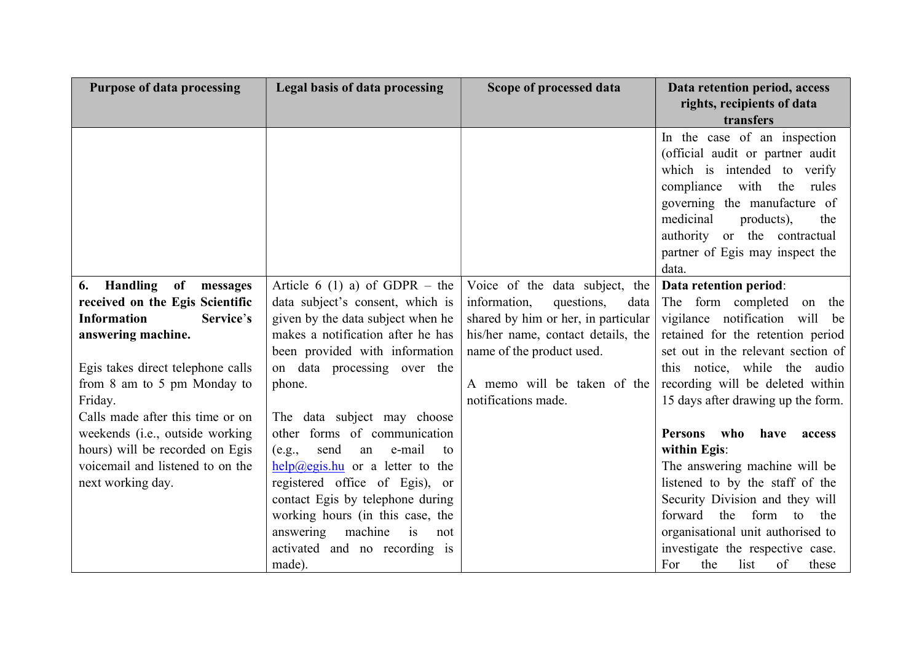| <b>Purpose of data processing</b>                                  | Legal basis of data processing                             | Scope of processed data             | Data retention period, access<br>rights, recipients of data<br>transfers |
|--------------------------------------------------------------------|------------------------------------------------------------|-------------------------------------|--------------------------------------------------------------------------|
|                                                                    |                                                            |                                     | In the case of an inspection                                             |
|                                                                    |                                                            |                                     | (official audit or partner audit                                         |
|                                                                    |                                                            |                                     | which is intended to verify                                              |
|                                                                    |                                                            |                                     | compliance with<br>the<br>rules<br>governing the manufacture of          |
|                                                                    |                                                            |                                     | medicinal<br>products),<br>the                                           |
|                                                                    |                                                            |                                     | authority or the contractual                                             |
|                                                                    |                                                            |                                     | partner of Egis may inspect the                                          |
|                                                                    |                                                            |                                     | data.                                                                    |
| Handling of<br>6.<br>messages                                      | Article 6 (1) a) of GDPR – the                             | Voice of the data subject, the      | Data retention period:                                                   |
| received on the Egis Scientific                                    | data subject's consent, which is                           | information,<br>questions,<br>data  | The form completed<br>on the                                             |
| <b>Information</b><br>Service's                                    | given by the data subject when he                          | shared by him or her, in particular | vigilance notification<br>will be                                        |
| answering machine.                                                 | makes a notification after he has                          | his/her name, contact details, the  | retained for the retention period                                        |
|                                                                    | been provided with information                             | name of the product used.           | set out in the relevant section of                                       |
| Egis takes direct telephone calls                                  | on data processing over the                                |                                     | this notice, while the audio                                             |
| from 8 am to 5 pm Monday to                                        | phone.                                                     | A memo will be taken of the         | recording will be deleted within                                         |
| Friday.                                                            |                                                            | notifications made.                 | 15 days after drawing up the form.                                       |
| Calls made after this time or on                                   | The data subject may choose                                |                                     |                                                                          |
| weekends (i.e., outside working<br>hours) will be recorded on Egis | other forms of communication<br>send<br>e-mail<br>an<br>to |                                     | <b>Persons</b><br>who<br>have<br>access<br>within Egis:                  |
| voicemail and listened to on the                                   | (e.g.,<br>$help@egis.hu$ or a letter to the                |                                     | The answering machine will be                                            |
| next working day.                                                  | registered office of Egis), or                             |                                     | listened to by the staff of the                                          |
|                                                                    | contact Egis by telephone during                           |                                     | Security Division and they will                                          |
|                                                                    | working hours (in this case, the                           |                                     | forward<br>the<br>form<br>to<br>the                                      |
|                                                                    | answering<br>machine<br>is<br>not                          |                                     | organisational unit authorised to                                        |
|                                                                    | activated and no recording is                              |                                     | investigate the respective case.                                         |
|                                                                    | made).                                                     |                                     | list<br>of<br>For<br>the<br>these                                        |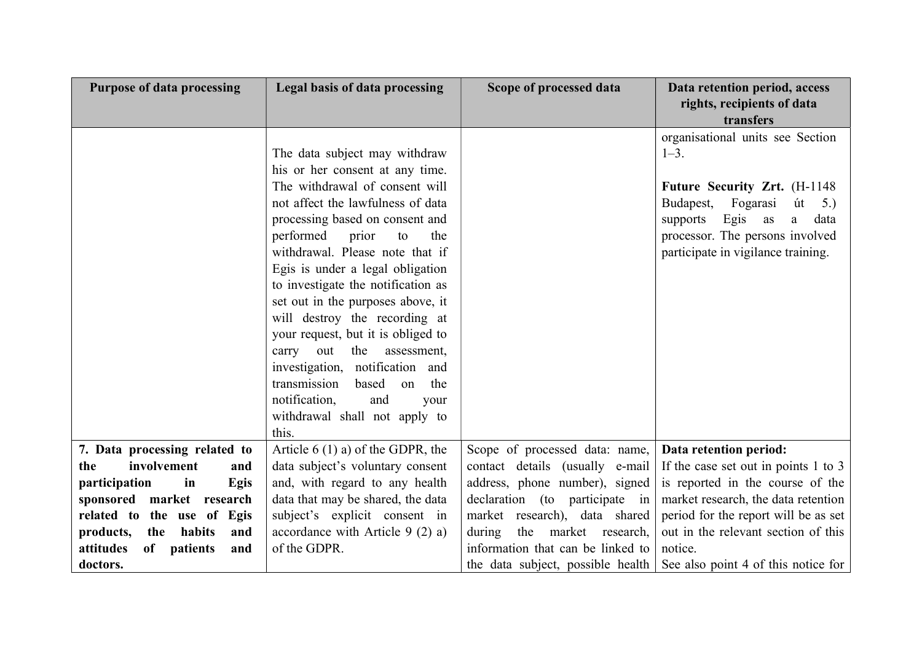| <b>Purpose of data processing</b>  | <b>Legal basis of data processing</b> | Scope of processed data           | Data retention period, access<br>rights, recipients of data |
|------------------------------------|---------------------------------------|-----------------------------------|-------------------------------------------------------------|
|                                    |                                       |                                   | transfers                                                   |
|                                    |                                       |                                   | organisational units see Section                            |
|                                    | The data subject may withdraw         |                                   | $1 - 3$ .                                                   |
|                                    | his or her consent at any time.       |                                   |                                                             |
|                                    | The withdrawal of consent will        |                                   | Future Security Zrt. (H-1148)                               |
|                                    | not affect the lawfulness of data     |                                   | Fogarasi<br>Budapest,<br>út<br>5.)                          |
|                                    | processing based on consent and       |                                   | supports Egis as<br>data<br>a                               |
|                                    | performed<br>prior<br>the<br>to       |                                   | processor. The persons involved                             |
|                                    | withdrawal. Please note that if       |                                   | participate in vigilance training.                          |
|                                    | Egis is under a legal obligation      |                                   |                                                             |
|                                    | to investigate the notification as    |                                   |                                                             |
|                                    | set out in the purposes above, it     |                                   |                                                             |
|                                    | will destroy the recording at         |                                   |                                                             |
|                                    | your request, but it is obliged to    |                                   |                                                             |
|                                    | out<br>assessment,<br>the<br>carry    |                                   |                                                             |
|                                    | investigation, notification and       |                                   |                                                             |
|                                    | transmission<br>based<br>the<br>on    |                                   |                                                             |
|                                    | notification,<br>and<br>your          |                                   |                                                             |
|                                    | withdrawal shall not apply to         |                                   |                                                             |
|                                    | this.                                 |                                   |                                                             |
| 7. Data processing related to      | Article $6(1)$ a) of the GDPR, the    | Scope of processed data: name,    | Data retention period:                                      |
| involvement<br>the<br>and          | data subject's voluntary consent      | contact details (usually e-mail   | If the case set out in points 1 to 3                        |
| participation<br>Egis<br>in        | and, with regard to any health        | address, phone number), signed    | is reported in the course of the                            |
| sponsored market research          | data that may be shared, the data     | declaration (to participate in    | market research, the data retention                         |
| related to the use of<br>Egis      | subject's explicit consent in         | market research), data shared     | period for the report will be as set                        |
| habits<br>the<br>and<br>products,  | accordance with Article 9 $(2)$ a)    | during<br>the<br>market research, | out in the relevant section of this                         |
| attitudes<br>of<br>patients<br>and | of the GDPR.                          | information that can be linked to | notice.                                                     |
| doctors.                           |                                       | the data subject, possible health | See also point 4 of this notice for                         |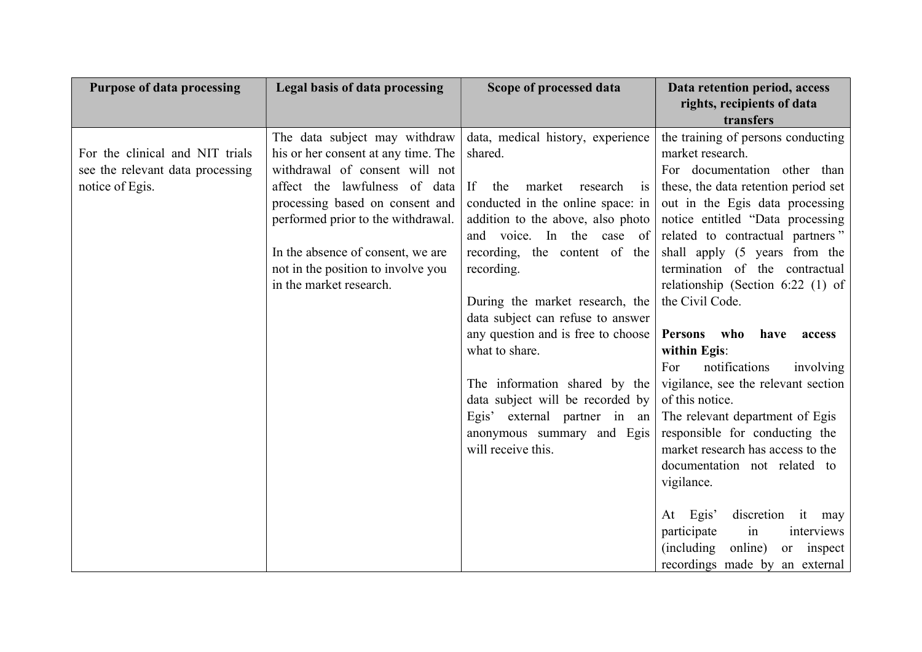| <b>Purpose of data processing</b>                                                      | Legal basis of data processing                                                                                                                                                                                                                                                                                         | Scope of processed data                                                                                                                                                                                                                                                                                                                                                                                                                                                                                                           | Data retention period, access<br>rights, recipients of data<br>transfers                                                                                                                                                                                                                                                                                                                                                                                                                                                                                                                                                                                                                                                                                                                                                        |
|----------------------------------------------------------------------------------------|------------------------------------------------------------------------------------------------------------------------------------------------------------------------------------------------------------------------------------------------------------------------------------------------------------------------|-----------------------------------------------------------------------------------------------------------------------------------------------------------------------------------------------------------------------------------------------------------------------------------------------------------------------------------------------------------------------------------------------------------------------------------------------------------------------------------------------------------------------------------|---------------------------------------------------------------------------------------------------------------------------------------------------------------------------------------------------------------------------------------------------------------------------------------------------------------------------------------------------------------------------------------------------------------------------------------------------------------------------------------------------------------------------------------------------------------------------------------------------------------------------------------------------------------------------------------------------------------------------------------------------------------------------------------------------------------------------------|
| For the clinical and NIT trials<br>see the relevant data processing<br>notice of Egis. | The data subject may withdraw<br>his or her consent at any time. The<br>withdrawal of consent will not<br>affect the lawfulness of data<br>processing based on consent and<br>performed prior to the withdrawal.<br>In the absence of consent, we are<br>not in the position to involve you<br>in the market research. | data, medical history, experience<br>shared.<br>market<br>If<br>research is<br>the<br>conducted in the online space: in<br>addition to the above, also photo<br>and voice. In the case of<br>recording, the content of the<br>recording.<br>During the market research, the<br>data subject can refuse to answer<br>any question and is free to choose<br>what to share.<br>The information shared by the<br>data subject will be recorded by<br>Egis' external partner in an<br>anonymous summary and Egis<br>will receive this. | the training of persons conducting<br>market research.<br>For documentation other than<br>these, the data retention period set<br>out in the Egis data processing<br>notice entitled "Data processing<br>related to contractual partners"<br>shall apply (5 years from the<br>termination of the contractual<br>relationship (Section 6:22 $(1)$ of<br>the Civil Code.<br>Persons who<br>have<br>access<br>within Egis:<br>notifications<br>For<br>involving<br>vigilance, see the relevant section<br>of this notice.<br>The relevant department of Egis<br>responsible for conducting the<br>market research has access to the<br>documentation not related to<br>vigilance.<br>Egis'<br>discretion it may<br>At<br>participate<br>interviews<br>in<br>(including)<br>online)<br>or inspect<br>recordings made by an external |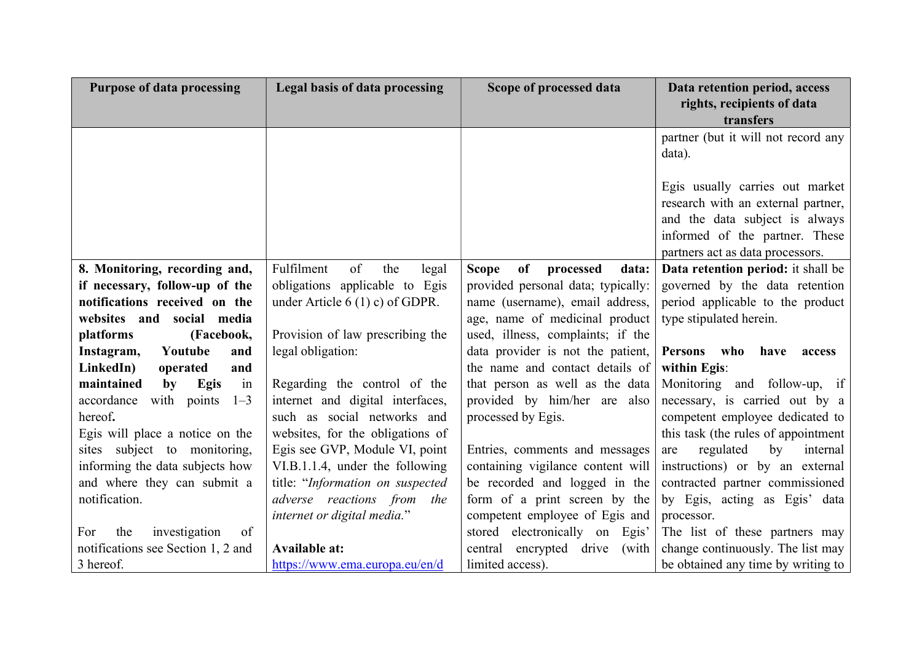| <b>Purpose of data processing</b>    | Legal basis of data processing   | Scope of processed data                  | Data retention period, access<br>rights, recipients of data |
|--------------------------------------|----------------------------------|------------------------------------------|-------------------------------------------------------------|
|                                      |                                  |                                          | transfers                                                   |
|                                      |                                  |                                          | partner (but it will not record any                         |
|                                      |                                  |                                          | data).                                                      |
|                                      |                                  |                                          |                                                             |
|                                      |                                  |                                          | Egis usually carries out market                             |
|                                      |                                  |                                          | research with an external partner,                          |
|                                      |                                  |                                          | and the data subject is always                              |
|                                      |                                  |                                          | informed of the partner. These                              |
|                                      |                                  |                                          | partners act as data processors.                            |
| 8. Monitoring, recording and,        | of<br>Fulfilment<br>the<br>legal | of<br>processed<br>data:<br><b>Scope</b> | Data retention period: it shall be                          |
| if necessary, follow-up of the       | obligations applicable to Egis   | provided personal data; typically:       | governed by the data retention                              |
| notifications received on the        | under Article $6(1)$ c) of GDPR. | name (username), email address,          | period applicable to the product                            |
| websites and<br>social media         |                                  | age, name of medicinal product           | type stipulated herein.                                     |
| platforms<br>(Facebook,              | Provision of law prescribing the | used, illness, complaints; if the        |                                                             |
| Instagram,<br>Youtube<br>and         | legal obligation:                | data provider is not the patient,        | <b>Persons</b><br>who have<br>access                        |
| LinkedIn)<br>operated<br>and         |                                  | the name and contact details of          | within Egis:                                                |
| in<br>maintained<br>Egis<br>by       | Regarding the control of the     | that person as well as the data          | Monitoring and follow-up, if                                |
| accordance<br>with points<br>$1 - 3$ | internet and digital interfaces, | provided by him/her are also             | necessary, is carried out by a                              |
| hereof.                              | such as social networks and      | processed by Egis.                       | competent employee dedicated to                             |
| Egis will place a notice on the      | websites, for the obligations of |                                          | this task (the rules of appointment                         |
| sites subject to monitoring,         | Egis see GVP, Module VI, point   | Entries, comments and messages           | regulated<br>by<br>internal<br>are                          |
| informing the data subjects how      | VI.B.1.1.4, under the following  | containing vigilance content will        | instructions) or by an external                             |
| and where they can submit a          | title: "Information on suspected | be recorded and logged in the            | contracted partner commissioned                             |
| notification.                        | adverse reactions from the       | form of a print screen by the            | by Egis, acting as Egis' data                               |
|                                      | internet or digital media."      | competent employee of Egis and           | processor.                                                  |
| For<br>the<br>investigation<br>of    |                                  | stored electronically on Egis'           | The list of these partners may                              |
| notifications see Section 1, 2 and   | <b>Available at:</b>             | central encrypted drive<br>(with         | change continuously. The list may                           |
| 3 hereof.                            | https://www.ema.europa.eu/en/d   | limited access).                         | be obtained any time by writing to                          |